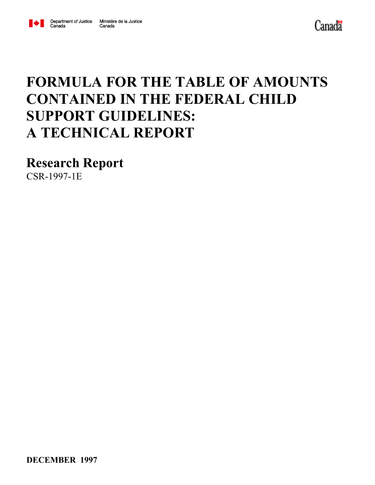



### **FORMULA FOR THE TABLE OF AMOUNTS CONTAINED IN THE FEDERAL CHILD SUPPORT GUIDELINES: A TECHNICAL REPORT**

**Research Report**

CSR-1997-1E

**DECEMBER 1997**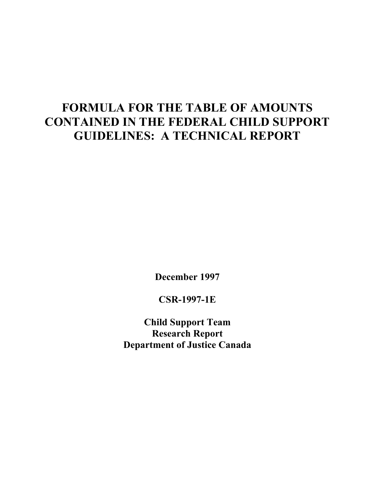### **FORMULA FOR THE TABLE OF AMOUNTS CONTAINED IN THE FEDERAL CHILD SUPPORT GUIDELINES: A TECHNICAL REPORT**

**December 1997**

**CSR-1997-1E**

**Child Support Team Research Report Department of Justice Canada**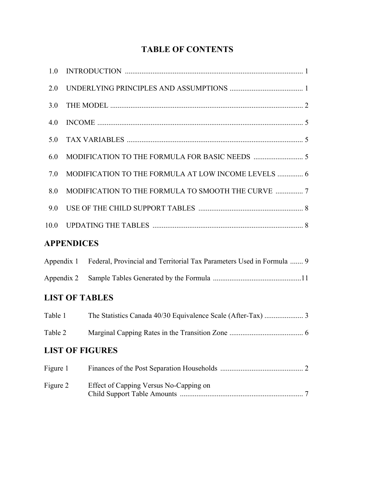### **TABLE OF CONTENTS**

| 1.0      |                   |                                                                                  |  |
|----------|-------------------|----------------------------------------------------------------------------------|--|
| 2.0      |                   |                                                                                  |  |
| 3.0      |                   |                                                                                  |  |
| 4.0      |                   |                                                                                  |  |
| 5.0      |                   |                                                                                  |  |
| 6.0      |                   |                                                                                  |  |
| 7.0      |                   | MODIFICATION TO THE FORMULA AT LOW INCOME LEVELS  6                              |  |
| 8.0      |                   | MODIFICATION TO THE FORMULA TO SMOOTH THE CURVE  7                               |  |
| 9.0      |                   |                                                                                  |  |
| 10.0     |                   |                                                                                  |  |
|          | <b>APPENDICES</b> |                                                                                  |  |
|          |                   | Appendix 1 Federal, Provincial and Territorial Tax Parameters Used in Formula  9 |  |
|          |                   |                                                                                  |  |
|          |                   | <b>LIST OF TABLES</b>                                                            |  |
|          | Table 1           |                                                                                  |  |
| Table 2  |                   |                                                                                  |  |
|          |                   | <b>LIST OF FIGURES</b>                                                           |  |
| Figure 1 |                   |                                                                                  |  |
| Figure 2 |                   | Effect of Capping Versus No-Capping on                                           |  |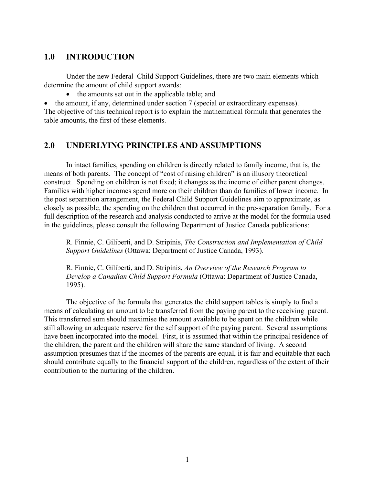### **1.0 INTRODUCTION**

Under the new Federal Child Support Guidelines, there are two main elements which determine the amount of child support awards:

• the amounts set out in the applicable table; and

• the amount, if any, determined under section 7 (special or extraordinary expenses). The objective of this technical report is to explain the mathematical formula that generates the table amounts, the first of these elements.

### **2.0 UNDERLYING PRINCIPLES AND ASSUMPTIONS**

In intact families, spending on children is directly related to family income, that is, the means of both parents. The concept of "cost of raising children" is an illusory theoretical construct. Spending on children is not fixed; it changes as the income of either parent changes. Families with higher incomes spend more on their children than do families of lower income. In the post separation arrangement, the Federal Child Support Guidelines aim to approximate, as closely as possible, the spending on the children that occurred in the pre-separation family. For a full description of the research and analysis conducted to arrive at the model for the formula used in the guidelines, please consult the following Department of Justice Canada publications:

R. Finnie, C. Giliberti, and D. Stripinis, *The Construction and Implementation of Child Support Guidelines* (Ottawa: Department of Justice Canada, 1993).

R. Finnie, C. Giliberti, and D. Stripinis, *An Overview of the Research Program to Develop a Canadian Child Support Formula* (Ottawa: Department of Justice Canada, 1995).

The objective of the formula that generates the child support tables is simply to find a means of calculating an amount to be transferred from the paying parent to the receiving parent. This transferred sum should maximise the amount available to be spent on the children while still allowing an adequate reserve for the self support of the paying parent. Several assumptions have been incorporated into the model. First, it is assumed that within the principal residence of the children, the parent and the children will share the same standard of living. A second assumption presumes that if the incomes of the parents are equal, it is fair and equitable that each should contribute equally to the financial support of the children, regardless of the extent of their contribution to the nurturing of the children.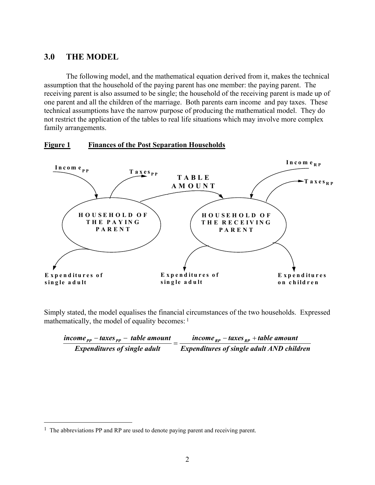### **3.0 THE MODEL**

The following model, and the mathematical equation derived from it, makes the technical assumption that the household of the paying parent has one member: the paying parent. The receiving parent is also assumed to be single; the household of the receiving parent is made up of one parent and all the children of the marriage. Both parents earn income and pay taxes. These technical assumptions have the narrow purpose of producing the mathematical model. They do not restrict the application of the tables to real life situations which may involve more complex family arrangements.



### **Figure 1 Finances of the Post Separation Households**

Simply stated, the model equalises the financial circumstances of the two households. Expressed mathematically, the model of equality becomes: <sup>1</sup>

| income $_{pp}$ – taxes $_{pp}$ – table amount | income $_{RP}$ – taxes $_{RP}$ + table amount    |
|-----------------------------------------------|--------------------------------------------------|
| <b>Expenditures of single adult</b>           | <b>Expenditures of single adult AND children</b> |

 $\overline{a}$ 

<sup>&</sup>lt;sup>1</sup> The abbreviations PP and RP are used to denote paying parent and receiving parent.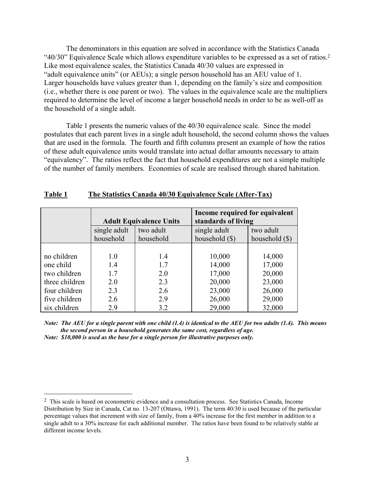The denominators in this equation are solved in accordance with the Statistics Canada "40/30" Equivalence Scale which allows expenditure variables to be expressed as a set of ratios.2 Like most equivalence scales, the Statistics Canada 40/30 values are expressed in "adult equivalence units" (or AEUs); a single person household has an AEU value of 1. Larger households have values greater than 1, depending on the family's size and composition (i.e., whether there is one parent or two). The values in the equivalence scale are the multipliers required to determine the level of income a larger household needs in order to be as well-off as the household of a single adult.

Table 1 presents the numeric values of the 40/30 equivalence scale. Since the model postulates that each parent lives in a single adult household, the second column shows the values that are used in the formula. The fourth and fifth columns present an example of how the ratios of these adult equivalence units would translate into actual dollar amounts necessary to attain "equivalency". The ratios reflect the fact that household expenditures are not a simple multiple of the number of family members. Economies of scale are realised through shared habitation.

|                |              | <b>Adult Equivalence Units</b> | Income required for equivalent<br>standards of living |                  |
|----------------|--------------|--------------------------------|-------------------------------------------------------|------------------|
|                | single adult | two adult                      | single adult                                          | two adult        |
|                | household    | household                      | household (\$)                                        | household $(\$)$ |
|                |              |                                |                                                       |                  |
| no children    | 1.0          | 1.4                            | 10,000                                                | 14,000           |
| one child      | 1.4          | 1.7                            | 14,000                                                | 17,000           |
| two children   | 1.7          | 2.0                            | 17,000                                                | 20,000           |
| three children | 2.0          | 2.3                            | 20,000                                                | 23,000           |
| four children  | 2.3          | 2.6                            | 23,000                                                | 26,000           |
| five children  | 2.6          | 2.9                            | 26,000                                                | 29,000           |
| six children   | 2.9          | 3.2                            | 29,000                                                | 32,000           |

### **Table 1 The Statistics Canada 40/30 Equivalence Scale (After-Tax)**

*Note: The AEU for a single parent with one child (1.4) is identical to the AEU for two adults (1.4). This means the second person in a household generates the same cost, regardless of age. Note: \$10,000 is used as the base for a single person for illustrative purposes only.*

 $\overline{a}$ 

<sup>2</sup> This scale is based on econometric evidence and a consultation process. See Statistics Canada, Income Distribution by Size in Canada, Cat no. 13-207 (Ottawa, 1991). The term 40/30 is used because of the particular percentage values that increment with size of family, from a 40% increase for the first member in addition to a single adult to a 30% increase for each additional member. The ratios have been found to be relatively stable at different income levels.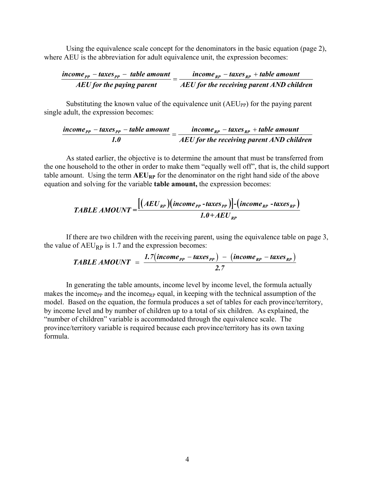Using the equivalence scale concept for the denominators in the basic equation (page 2), where AEU is the abbreviation for adult equivalence unit, the expression becomes:

$$
\frac{income_{pp} - taxes_{pp} - table amount}{AEU for the paying parent} = \frac{income_{RP} - taxes_{RP} + table amount}{AEU for the receiving parent AND children}
$$

Substituting the known value of the equivalence unit  $(AEU_{PP})$  for the paying parent single adult, the expression becomes:

$$
\frac{income_{pp} - taxes_{pp} - table\ amount}{1.0} = \frac{income_{RP} - taxes_{RP} + table\ amount}{AEU\ for\ the\ receiving\ parent\ AND\ children}
$$

As stated earlier, the objective is to determine the amount that must be transferred from the one household to the other in order to make them "equally well off", that is, the child support table amount. Using the term  $AEU_{RP}$  for the denominator on the right hand side of the above equation and solving for the variable **table amount,** the expression becomes:

TABLE AMOUNT = 
$$
\frac{[(AEU_{RP})(income_{PP} - taxes_{PP})]-(income_{RP} - taxes_{RP})}{1.0 + AEU_{RP}}
$$

If there are two children with the receiving parent, using the equivalence table on page 3, the value of  $AEU_{RP}$  is 1.7 and the expression becomes:

TABLE AMOUNT = 
$$
\frac{1.7(income_{PP} - taxes_{PP}) - (income_{RP} - taxes_{RP})}{2.7}
$$

In generating the table amounts, income level by income level, the formula actually makes the income<sub>PP</sub> and the income<sub>RP</sub> equal, in keeping with the technical assumption of the model. Based on the equation, the formula produces a set of tables for each province/territory, by income level and by number of children up to a total of six children. As explained, the "number of children" variable is accommodated through the equivalence scale. The province/territory variable is required because each province/territory has its own taxing formula.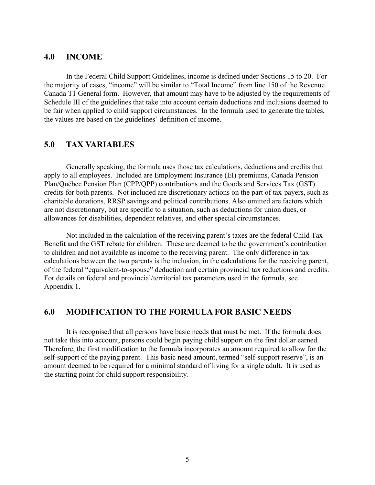### **4.0 INCOME**

In the Federal Child Support Guidelines, income is defined under Sections 15 to 20. For the majority of cases, "income" will be similar to "Total Income" from line 150 of the Revenue Canada T1 General form. However, that amount may have to be adjusted by the requirements of Schedule III of the guidelines that take into account certain deductions and inclusions deemed to be fair when applied to child support circumstances. In the formula used to generate the tables, the values are based on the guidelines' definition of income.

### **5.0 TAX VARIABLES**

Generally speaking, the formula uses those tax calculations, deductions and credits that apply to all employees. Included are Employment Insurance (EI) premiums, Canada Pension Plan/Québec Pension Plan (CPP/QPP) contributions and the Goods and Services Tax (GST) credits for both parents. Not included are discretionary actions on the part of tax-payers, such as charitable donations, RRSP savings and political contributions. Also omitted are factors which are not discretionary, but are specific to a situation, such as deductions for union dues, or allowances for disabilities, dependent relatives, and other special circumstances.

Not included in the calculation of the receiving parent's taxes are the federal Child Tax Benefit and the GST rebate for children. These are deemed to be the government's contribution to children and not available as income to the receiving parent. The only difference in tax calculations between the two parents is the inclusion, in the calculations for the receiving parent, of the federal "equivalent-to-spouse" deduction and certain provincial tax reductions and credits. For details on federal and provincial/territorial tax parameters used in the formula, see Appendix 1.

### **6.0 MODIFICATION TO THE FORMULA FOR BASIC NEEDS**

It is recognised that all persons have basic needs that must be met. If the formula does not take this into account, persons could begin paying child support on the first dollar earned. Therefore, the first modification to the formula incorporates an amount required to allow for the self-support of the paying parent. This basic need amount, termed "self-support reserve", is an amount deemed to be required for a minimal standard of living for a single adult. It is used as the starting point for child support responsibility.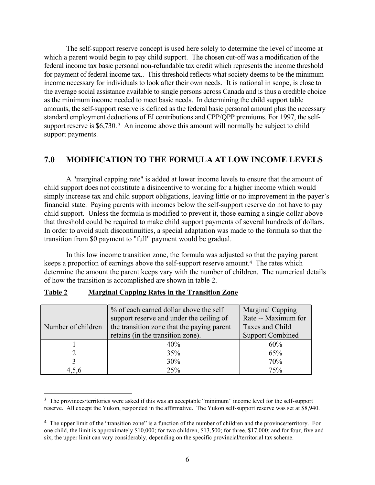The self-support reserve concept is used here solely to determine the level of income at which a parent would begin to pay child support. The chosen cut-off was a modification of the federal income tax basic personal non-refundable tax credit which represents the income threshold for payment of federal income tax.. This threshold reflects what society deems to be the minimum income necessary for individuals to look after their own needs. It is national in scope, is close to the average social assistance available to single persons across Canada and is thus a credible choice as the minimum income needed to meet basic needs. In determining the child support table amounts, the self-support reserve is defined as the federal basic personal amount plus the necessary standard employment deductions of EI contributions and CPP/QPP premiums. For 1997, the selfsupport reserve is \$6,730.<sup>3</sup> An income above this amount will normally be subject to child support payments.

### **7.0 MODIFICATION TO THE FORMULA AT LOW INCOME LEVELS**

A "marginal capping rate" is added at lower income levels to ensure that the amount of child support does not constitute a disincentive to working for a higher income which would simply increase tax and child support obligations, leaving little or no improvement in the payer's financial state. Paying parents with incomes below the self-support reserve do not have to pay child support. Unless the formula is modified to prevent it, those earning a single dollar above that threshold could be required to make child support payments of several hundreds of dollars. In order to avoid such discontinuities, a special adaptation was made to the formula so that the transition from \$0 payment to "full" payment would be gradual.

In this low income transition zone, the formula was adjusted so that the paying parent keeps a proportion of earnings above the self-support reserve amount.4 The rates which determine the amount the parent keeps vary with the number of children. The numerical details of how the transition is accomplished are shown in table 2.

| Number of children | % of each earned dollar above the self<br>support reserve and under the ceiling of<br>the transition zone that the paying parent | Marginal Capping<br>Rate -- Maximum for<br>Taxes and Child |
|--------------------|----------------------------------------------------------------------------------------------------------------------------------|------------------------------------------------------------|
|                    | retains (in the transition zone).                                                                                                | <b>Support Combined</b>                                    |
|                    | 40%                                                                                                                              | 60%                                                        |
|                    | 35%                                                                                                                              | 65%                                                        |
|                    | 30%                                                                                                                              | 70%                                                        |
|                    | 25%                                                                                                                              | 75%                                                        |

### **Table 2 Marginal Capping Rates in the Transition Zone**

 $\overline{a}$ 

<sup>&</sup>lt;sup>3</sup> The provinces/territories were asked if this was an acceptable "minimum" income level for the self-support reserve. All except the Yukon, responded in the affirmative. The Yukon self-support reserve was set at \$8,940.

<sup>4</sup> The upper limit of the "transition zone" is a function of the number of children and the province/territory. For one child, the limit is approximately \$10,000; for two children, \$13,500; for three, \$17,000; and for four, five and six, the upper limit can vary considerably, depending on the specific provincial/territorial tax scheme.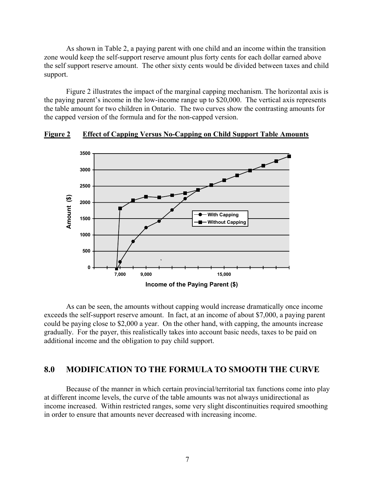As shown in Table 2, a paying parent with one child and an income within the transition zone would keep the self-support reserve amount plus forty cents for each dollar earned above the self support reserve amount. The other sixty cents would be divided between taxes and child support.

Figure 2 illustrates the impact of the marginal capping mechanism. The horizontal axis is the paying parent's income in the low-income range up to \$20,000. The vertical axis represents the table amount for two children in Ontario. The two curves show the contrasting amounts for the capped version of the formula and for the non-capped version.



### **Figure 2 Effect of Capping Versus No-Capping on Child Support Table Amounts**

As can be seen, the amounts without capping would increase dramatically once income exceeds the self-support reserve amount. In fact, at an income of about \$7,000, a paying parent could be paying close to \$2,000 a year. On the other hand, with capping, the amounts increase gradually. For the payer, this realistically takes into account basic needs, taxes to be paid on additional income and the obligation to pay child support.

### **8.0 MODIFICATION TO THE FORMULA TO SMOOTH THE CURVE**

Because of the manner in which certain provincial/territorial tax functions come into play at different income levels, the curve of the table amounts was not always unidirectional as income increased. Within restricted ranges, some very slight discontinuities required smoothing in order to ensure that amounts never decreased with increasing income.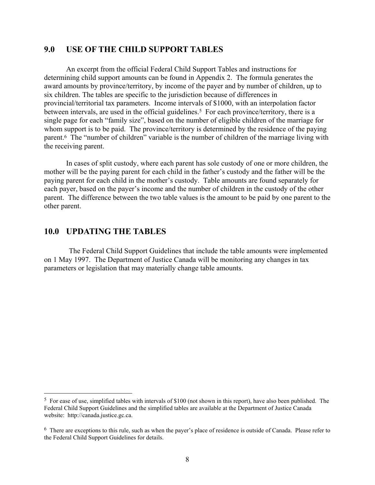### **9.0 USE OF THE CHILD SUPPORT TABLES**

An excerpt from the official Federal Child Support Tables and instructions for determining child support amounts can be found in Appendix 2. The formula generates the award amounts by province/territory, by income of the payer and by number of children, up to six children. The tables are specific to the jurisdiction because of differences in provincial/territorial tax parameters. Income intervals of \$1000, with an interpolation factor between intervals, are used in the official guidelines.<sup>5</sup> For each province/territory, there is a single page for each "family size", based on the number of eligible children of the marriage for whom support is to be paid. The province/territory is determined by the residence of the paying parent.6 The "number of children" variable is the number of children of the marriage living with the receiving parent.

In cases of split custody, where each parent has sole custody of one or more children, the mother will be the paying parent for each child in the father's custody and the father will be the paying parent for each child in the mother's custody. Table amounts are found separately for each payer, based on the payer's income and the number of children in the custody of the other parent. The difference between the two table values is the amount to be paid by one parent to the other parent.

### **10.0 UPDATING THE TABLES**

 $\overline{a}$ 

The Federal Child Support Guidelines that include the table amounts were implemented on 1 May 1997. The Department of Justice Canada will be monitoring any changes in tax parameters or legislation that may materially change table amounts.

<sup>5</sup> For ease of use, simplified tables with intervals of \$100 (not shown in this report), have also been published. The Federal Child Support Guidelines and the simplified tables are available at the Department of Justice Canada website: http://canada.justice.gc.ca.

<sup>6</sup> There are exceptions to this rule, such as when the payer's place of residence is outside of Canada. Please refer to the Federal Child Support Guidelines for details.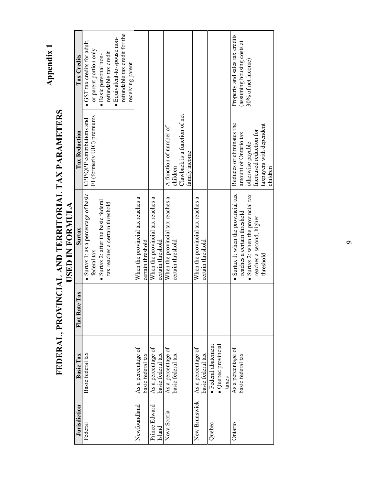Appendix 1 **Appendix 1**

### FEDERAL, PROVINCIAL AND TERRITORIAL TAX PARAMETERS **FEDERAL, PROVINCIAL AND TERRITORIAL TAX PARAMETERS USED IN FORMULA**

| · Equivalent-to-spouse non-<br>(assuming housing costs at<br>or parent portion only<br>refundable tax credit<br>· Basic personal non-<br>30% of net income)<br>receiving parent<br>Clawback is a function of net<br>EI (formerly UIC) premiums<br>CPP/QPP contributions and<br>Reduces or eliminates the<br>taxpayers with dependent<br>A function of number of<br>Increased reduction for<br>amount of Ontario tax<br>otherwise payable<br>family income<br>children<br>children<br>• Surtax 1: as a percentage of basic<br>• Surtax 1: when the provincial tax<br>$\bullet$ Surtax 2: when the provincial tax<br>When the provincial tax reaches a<br>When the provincial tax reaches a<br>When the provincial tax reaches a<br>When the provincial tax reaches a<br>• Surtax 2: after the basic federal<br>tax reaches a certain threshold<br>reaches a certain threshold<br>reaches a second, higher<br>certain threshold<br>certain threshold<br>certain threshold<br>certain threshold<br>federal tax<br>threshold<br>· Federal abatement<br>· Quebec provincial<br>As a percentage of<br>As a percentage of<br>As a percentage of<br>As a percentage of<br>basic federal tax<br>As a percentage of<br>Basic federal tax<br>basic federal tax<br>basic federal tax<br>basic federal tax<br>basic federal tax<br>taxes<br>New Brunswick<br>Newfoundland<br>Prince Edward<br>Nova Scotia<br>Ontario<br>Quebec<br>Federal<br>Island | Jurisdiction | <b>Basic Tax</b> | Flat Rate Tax | Surtax | <b>Tax Reduction</b> | Tax Credits                    |
|----------------------------------------------------------------------------------------------------------------------------------------------------------------------------------------------------------------------------------------------------------------------------------------------------------------------------------------------------------------------------------------------------------------------------------------------------------------------------------------------------------------------------------------------------------------------------------------------------------------------------------------------------------------------------------------------------------------------------------------------------------------------------------------------------------------------------------------------------------------------------------------------------------------------------------------------------------------------------------------------------------------------------------------------------------------------------------------------------------------------------------------------------------------------------------------------------------------------------------------------------------------------------------------------------------------------------------------------------------------------------------------------------------------------------------------|--------------|------------------|---------------|--------|----------------------|--------------------------------|
|                                                                                                                                                                                                                                                                                                                                                                                                                                                                                                                                                                                                                                                                                                                                                                                                                                                                                                                                                                                                                                                                                                                                                                                                                                                                                                                                                                                                                                        |              |                  |               |        |                      | • GST tax credits for adult,   |
|                                                                                                                                                                                                                                                                                                                                                                                                                                                                                                                                                                                                                                                                                                                                                                                                                                                                                                                                                                                                                                                                                                                                                                                                                                                                                                                                                                                                                                        |              |                  |               |        |                      |                                |
|                                                                                                                                                                                                                                                                                                                                                                                                                                                                                                                                                                                                                                                                                                                                                                                                                                                                                                                                                                                                                                                                                                                                                                                                                                                                                                                                                                                                                                        |              |                  |               |        |                      |                                |
|                                                                                                                                                                                                                                                                                                                                                                                                                                                                                                                                                                                                                                                                                                                                                                                                                                                                                                                                                                                                                                                                                                                                                                                                                                                                                                                                                                                                                                        |              |                  |               |        |                      | refundable tax credit for the  |
|                                                                                                                                                                                                                                                                                                                                                                                                                                                                                                                                                                                                                                                                                                                                                                                                                                                                                                                                                                                                                                                                                                                                                                                                                                                                                                                                                                                                                                        |              |                  |               |        |                      |                                |
|                                                                                                                                                                                                                                                                                                                                                                                                                                                                                                                                                                                                                                                                                                                                                                                                                                                                                                                                                                                                                                                                                                                                                                                                                                                                                                                                                                                                                                        |              |                  |               |        |                      |                                |
|                                                                                                                                                                                                                                                                                                                                                                                                                                                                                                                                                                                                                                                                                                                                                                                                                                                                                                                                                                                                                                                                                                                                                                                                                                                                                                                                                                                                                                        |              |                  |               |        |                      |                                |
|                                                                                                                                                                                                                                                                                                                                                                                                                                                                                                                                                                                                                                                                                                                                                                                                                                                                                                                                                                                                                                                                                                                                                                                                                                                                                                                                                                                                                                        |              |                  |               |        |                      |                                |
|                                                                                                                                                                                                                                                                                                                                                                                                                                                                                                                                                                                                                                                                                                                                                                                                                                                                                                                                                                                                                                                                                                                                                                                                                                                                                                                                                                                                                                        |              |                  |               |        |                      |                                |
|                                                                                                                                                                                                                                                                                                                                                                                                                                                                                                                                                                                                                                                                                                                                                                                                                                                                                                                                                                                                                                                                                                                                                                                                                                                                                                                                                                                                                                        |              |                  |               |        |                      |                                |
|                                                                                                                                                                                                                                                                                                                                                                                                                                                                                                                                                                                                                                                                                                                                                                                                                                                                                                                                                                                                                                                                                                                                                                                                                                                                                                                                                                                                                                        |              |                  |               |        |                      |                                |
|                                                                                                                                                                                                                                                                                                                                                                                                                                                                                                                                                                                                                                                                                                                                                                                                                                                                                                                                                                                                                                                                                                                                                                                                                                                                                                                                                                                                                                        |              |                  |               |        |                      |                                |
|                                                                                                                                                                                                                                                                                                                                                                                                                                                                                                                                                                                                                                                                                                                                                                                                                                                                                                                                                                                                                                                                                                                                                                                                                                                                                                                                                                                                                                        |              |                  |               |        |                      |                                |
|                                                                                                                                                                                                                                                                                                                                                                                                                                                                                                                                                                                                                                                                                                                                                                                                                                                                                                                                                                                                                                                                                                                                                                                                                                                                                                                                                                                                                                        |              |                  |               |        |                      |                                |
|                                                                                                                                                                                                                                                                                                                                                                                                                                                                                                                                                                                                                                                                                                                                                                                                                                                                                                                                                                                                                                                                                                                                                                                                                                                                                                                                                                                                                                        |              |                  |               |        |                      |                                |
|                                                                                                                                                                                                                                                                                                                                                                                                                                                                                                                                                                                                                                                                                                                                                                                                                                                                                                                                                                                                                                                                                                                                                                                                                                                                                                                                                                                                                                        |              |                  |               |        |                      |                                |
|                                                                                                                                                                                                                                                                                                                                                                                                                                                                                                                                                                                                                                                                                                                                                                                                                                                                                                                                                                                                                                                                                                                                                                                                                                                                                                                                                                                                                                        |              |                  |               |        |                      |                                |
|                                                                                                                                                                                                                                                                                                                                                                                                                                                                                                                                                                                                                                                                                                                                                                                                                                                                                                                                                                                                                                                                                                                                                                                                                                                                                                                                                                                                                                        |              |                  |               |        |                      | Property and sales tax credits |
|                                                                                                                                                                                                                                                                                                                                                                                                                                                                                                                                                                                                                                                                                                                                                                                                                                                                                                                                                                                                                                                                                                                                                                                                                                                                                                                                                                                                                                        |              |                  |               |        |                      |                                |
|                                                                                                                                                                                                                                                                                                                                                                                                                                                                                                                                                                                                                                                                                                                                                                                                                                                                                                                                                                                                                                                                                                                                                                                                                                                                                                                                                                                                                                        |              |                  |               |        |                      |                                |
|                                                                                                                                                                                                                                                                                                                                                                                                                                                                                                                                                                                                                                                                                                                                                                                                                                                                                                                                                                                                                                                                                                                                                                                                                                                                                                                                                                                                                                        |              |                  |               |        |                      |                                |
|                                                                                                                                                                                                                                                                                                                                                                                                                                                                                                                                                                                                                                                                                                                                                                                                                                                                                                                                                                                                                                                                                                                                                                                                                                                                                                                                                                                                                                        |              |                  |               |        |                      |                                |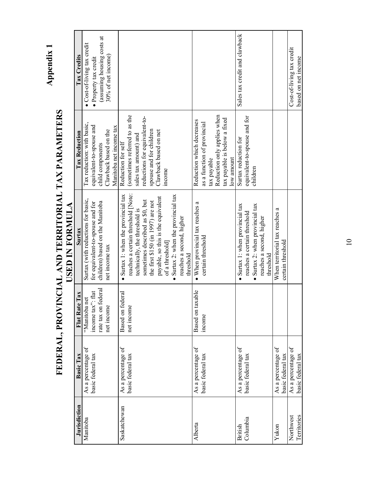Appendix 1 **Appendix 1**

### FEDERAL, PROVINCIAL AND TERRITORIAL TAX PARAMETERS **FEDERAL, PROVINCIAL AND TERRITORIAL TAX PARAMETERS** USED IN FORMULA **USED IN FORMULA**

| <b>Jurisdiction</b> | Basic Tax          | Flat Rate Tax           | Surtax                                      | <b>Tax Reduction</b>          | Tax Credits                   |
|---------------------|--------------------|-------------------------|---------------------------------------------|-------------------------------|-------------------------------|
| Manitoba            | As a percentage of | "Manitoba net           | Surtax (with reductions for basic,          | Tax reduction: with basic,    | · Cost-of-living tax credit   |
|                     | basic federal tax  | income tax": flat       | for equivalent-to-spouse and for            | equivalent-to-spouse and      | • Property tax credit         |
|                     |                    | rate tax on federal     | children) based on the Manitoba             | child components              | (assuming housing costs at    |
|                     |                    | net income              | net income tax                              | Clawback based on the         | 30% of net income)            |
|                     |                    |                         |                                             | Manitoba net income tax       |                               |
| Saskatchewan        | As a percentage of | <b>Based</b> on federal | • Surtax 1: when the provincial tax         | Reduction for self            |                               |
|                     | basic federal tax  | net income              | reaches a certain threshold [Note:          | (sometimes referred to as the |                               |
|                     |                    |                         | technically, the threshold is               | sales tax amount) and         |                               |
|                     |                    |                         | sometimes described as \$0, but             | reductions for equivalent-to- |                               |
|                     |                    |                         | the first \$150 (in 1997) are not           | spouse and for children       |                               |
|                     |                    |                         | payable, so this is the equivalent          | Clawback based on net         |                               |
|                     |                    |                         | of a threshold]                             | income                        |                               |
|                     |                    |                         | $\bullet$ Surtax 2: when the provincial tax |                               |                               |
|                     |                    |                         | reaches a second, higher                    |                               |                               |
|                     |                    |                         | threshold                                   |                               |                               |
| Alberta             | As a percentage of | Based on taxable        | • When provincial tax reaches a             | Reduction which decreases     |                               |
|                     | basic federal tax  | income                  | certain threshold                           | as a function of provincial   |                               |
|                     |                    |                         |                                             | tax payable                   |                               |
|                     |                    |                         |                                             | Reduction only applies when   |                               |
|                     |                    |                         |                                             | tax payable is below a fixed  |                               |
|                     |                    |                         |                                             | low amount                    |                               |
| British             | As a percentage of |                         | • Surtax 1: when provincial tax             | Surtax reduction for          | Sales tax credit and clawback |
| Columbia            | basic federal tax  |                         | reaches a certain threshold                 | equivalent-to-spouse and for  |                               |
|                     |                    |                         | • Surtax 2: when provincial tax             | children                      |                               |
|                     |                    |                         | reaches a second, higher                    |                               |                               |
|                     |                    |                         | threshold                                   |                               |                               |
| Yukon               | As a percentage of |                         | When territorial tax reaches a              |                               |                               |
|                     | basic federal tax  |                         | certain threshold                           |                               |                               |
| Northwest           | As a percentage of |                         |                                             |                               | Cost-of-living tax credit     |
| Territories         | basic federal tax  |                         |                                             |                               | based on net income           |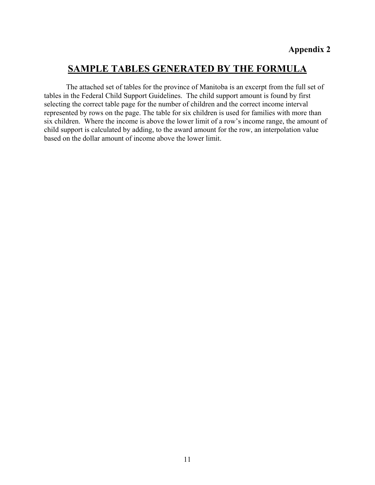### **SAMPLE TABLES GENERATED BY THE FORMULA**

The attached set of tables for the province of Manitoba is an excerpt from the full set of tables in the Federal Child Support Guidelines. The child support amount is found by first selecting the correct table page for the number of children and the correct income interval represented by rows on the page. The table for six children is used for families with more than six children. Where the income is above the lower limit of a row's income range, the amount of child support is calculated by adding, to the award amount for the row, an interpolation value based on the dollar amount of income above the lower limit.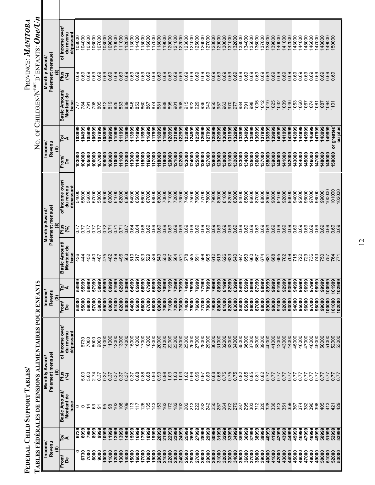| No. of Children/N <sup>bre</sup> d'enfants: $\bm{OneUn}$ |                                    |                       | of Income over<br>dépassant<br>du revenu | 103000 | 104000<br>105000 | 106000             | 107000         | 108000 | 109000 | 10000        | 11000  | 112000       | 13000<br>14000                   | 115000 | 16000  | 17000  | 18000  | 19000 | 21000<br>20000  | 22000        | 123000 | 24000 | 25000 | 26000  | 127000 | 128000<br>129000 | 30000          | 31000 | 132000       | 34000<br>33000 | 135000         | 136000 | 37000  | 38000  | 39000<br>140000 | 141000 | 142000 | 143000     | 144000         | 145000 | 146000 | 147000            | 148000 | 149000<br>150000 |                     |
|----------------------------------------------------------|------------------------------------|-----------------------|------------------------------------------|--------|------------------|--------------------|----------------|--------|--------|--------------|--------|--------------|----------------------------------|--------|--------|--------|--------|-------|-----------------|--------------|--------|-------|-------|--------|--------|------------------|----------------|-------|--------------|----------------|----------------|--------|--------|--------|-----------------|--------|--------|------------|----------------|--------|--------|-------------------|--------|------------------|---------------------|
|                                                          | Monthly Award/                     | Paiement mensuel<br>Ģ | Plus<br>(%)                              | 0.69   | 0.69             | 0.69<br>0.69       | 0.69           | 0.69   | 0.69   | 0.69<br>0.69 |        | 0.69         | 0.69<br>0.69                     | 0.69   | 0.69   | 0.69   | 0.69   | 0.69  | 0.69            | 0.69         | 0.69   | 0.69  | 0.69  | 0.69   | 0.69   | 0.69<br>0.69     | 0.69           | 0.69  | 0.69<br>0.69 | 0.69           | 0.69           | 0.69   | 0.69   | 0.69   | 0.69<br>0.69    | 0.69   | 0.69   | 0.69       | 0.69           | 0.69   | 0.69   | 0.69              | 0.69   | 0.69<br>0.69     |                     |
|                                                          |                                    |                       | Basic Amount/<br>Montant de<br>base      |        | 784<br>791       | 798                | 805            | 812    | 819    | 826          | 833    | 839          | 846<br>853                       | 860    | 867    | 874    | 881    | 888   | 895<br>501      | 908          | 915    | 922   | 929   | 936    | 943    | 950              | 963<br>957     | 970   | 977          | 984<br>991     | 998            | 1005   | 1012   | 1019   | 1025<br>1032    | 1039   | 1046   | 1053       | 060            | 1067   | 1074   | 1081              | 1087   | 1101<br>094      |                     |
|                                                          |                                    |                       | ু∢                                       | 103999 | 104999           | 105999<br>106999   | 107999         | 108999 | 109999 | 110999       | 11999  | <b>12999</b> | 14999<br><b>I13999</b>           | 115999 | 116999 | 117999 | 118999 | 19999 | 20999<br>121999 | 22999        | 123999 | 24999 | 25999 | 126999 | 127999 | 28999<br>129999  | 30999          | 31999 | 32999        | 33999          | 34999<br>35999 | 36999  | 137999 | 38999  | 39999<br>140999 | 141999 | 142999 | 143999     | 144999         | 145999 | 146999 | 147999            | 148999 | 149999           | ou plus<br>greater/ |
|                                                          | $l$<br>Revenu                      | ⊕                     | From/<br>De                              | 103000 | 104000           | 105000<br>106000   | 107000         | 108000 | 09000  | 10000        | 111000 | 112000       | 14000<br>13000                   | 115000 | 16000  | 17000  | 118000 | 19000 | 21000<br>120000 | 122000       | 23000  | 24000 | 25000 | 26000  | 27000  | 28000<br>29000   | 30000          | 31000 | 32000        | 33000          | 34000<br>35000 | 36000  | 37000  | 138000 | 39000<br>40000  | 141000 | 142000 | 43000      | 144000         | 145000 | 146000 | 147000            | 148000 | 150000<br>149000 | ŏ                   |
|                                                          |                                    |                       | of Income over<br>du revenu<br>dépassant | 54000  | 55000<br>56000   | 57000              | 58000          | 59000  | 60000  | 61000        | 62000  | 63000        | 65000<br>64000                   | 66000  | 67000  | 68000  | 69000  | 70000 | 71000<br>72000  | 73000        | 74000  | 75000 | 76000 | 77000  | 78000  | 79000<br>80000   | 81000          | 82000 | 83000        | 84000<br>85000 | 86000          | 87000  | 88000  | 89000  | 90000<br>91000  | 92000  | 93000  | 94000      | 95000          | 96000  | 97000  | 98000             | 99000  | 101000<br>100000 | 102000              |
|                                                          | Paiement mensuel<br>Monthly Award/ | ⊕                     | Plus<br>(%)                              | 0.77   | 0.77             | 0.77<br>77<br>0.77 | 5.0            | 0.72   | 0.71   | 0.71         | 0.71   | 0.67         | 0.64<br>0.64                     | 0.66   | 0.69   | 0.69   | 0.69   | 0.69  | 0.69<br>0.69    | 0.69         | 0.69   | 0.69  | 0.69  | 0.69   | 0.69   | 0.69<br>0.69     | 0.69           | 0.69  | 0.69         | 0.69<br>0.69   | 0.69           | 0.69   | 0.69   | 0.69   | 0.69<br>0.69    | 0.69   | 0.69   | 0.69       | 0.69           | 0.69   | 0.69   | 0.69              | 0.69   | 0.69<br>0.69     | 0.69                |
|                                                          |                                    |                       | Basic Amount/<br>Montant de<br>base      | 436    | 444              | 460<br>452         | 467            | 475    | 482    | 489          | 496    | 503          | 510<br>517                       | 523    | 529    | 536    | 543    | 550   | 557             | 564<br>571   | 578    | 585   | 591   | 598    | 605    | 612<br>619       | 626            | 633   | 640          | 647            | 653<br>660     | 667    | 674    | 681    | 688<br>695      | 702    | 709    |            | $715$<br>$722$ | 729    |        | 736<br>743<br>750 |        | 757              | 764<br>771          |
|                                                          |                                    |                       | ু∢                                       | 54999  | 55999            | 56999              | 57999<br>58999 | 59999  | 60999  | 61999        | 62999  | 63999        | 65999<br>64999                   | 66999  | 67999  | 68999  | 69999  | 70999 | 72999<br>71999  | 73999        | 74999  | 75999 | 76999 | 77999  | 78999  | 79999            | 80999<br>81999 | 82999 | 83999        | 84999          | 85999<br>86999 | 87999  | 88999  | 89999  | 90999<br>91999  | 92999  | 93999  | 94999      | 95999          | 96999  | 97999  | 98999             | 99999  | 100999<br>101999 | 102999              |
|                                                          | Income/<br>Revenu                  | ⊕                     | From<br>De                               | 54000  | 55000            | 56000<br>57000     | 58000          | 59000  | 60000  | 61000        | 62000  | 63000        | 65000<br>64000                   | 66000  | 67000  | 68000  | 69000  | 70000 | 71000<br>72000  | 73000        | 74000  | 75000 | 76000 | 77000  | 78000  | 79000<br>80000   | 81000          | 82000 | 83000        | 84000<br>85000 | 86000          | 87000  | 88000  | 89000  | 90000<br>91000  | 92000  | 93000  | 94000      | 95000          | 96000  | 97000  | 98000             | 99000  | 101000<br>100000 | 102000              |
| ABLES FÉDÉRALES DE PENSIONS ALIMENTAIRES POUR ENFANTS    |                                    |                       | of Income over<br>dépassant<br>du revenu |        | 6730<br>7000     | 8000               | 9000           | 10000  | 11000  | 12000        | 13000  | 14000        | 5000<br>16000                    | 17000  | 18000  | 19000  | 20000  | 21000 | 22000<br>23000  | 24000        | 25000  | 26000 | 27000 | 28000  | 29000  | 30000<br>31000   | 32000          | 33000 | 34000        | 35000<br>36000 | 37000          | 38000  | 39000  | 40000  | 41000<br>42000  | 43000  | 44000  | 45000      | 46000          | 47000  | 48000  | 49000             | 50000  | 51000<br>52000   | 53000               |
|                                                          | Monthly Award/                     | Paiement mensuel<br>⊕ | Plus<br>(%)                              |        | 5.00             | 2.74<br>5.00       | 0.37           | 0.37   | 0.37   | 0.37         | 0.37   | 0.37         | 0.88<br>0.37                     | 0.88   | 0.88   | 0.93   | 0.93   | 0.98  | 1.03            | 1.03<br>1.03 | 1.02   | 0.96  | 0.96  | 0.97   | 0.89   | 0.68             | 0.68<br>0.75   | 0.75  | 0.75         | 0.82<br>0.85   | 0.85           | 0.81   | 0.82   | 0.77   | 0.77<br>0.77    | 0.77   | 0.77   | 77<br>0.77 | 5.0            | 77     | 77     | 77                | 0.77   | 0.77             | 77<br>77.0          |
|                                                          |                                    |                       | Basic Amount/<br>Montant de<br>base      | 0      | $\circ$          | යි<br>4            | $\overline{5}$ | 95     | 88     | 102          | 106    | 109          | $\frac{8}{2}$<br>$\overline{11}$ | 126    | 135    | 143    | 153    | 162   | 172<br>182      | 192          | 202    | 213   | 222   | 232    | 242    | 250              | 257<br>264     | 272   | 279          | 295            | 303            | 312    | 320    | 328    | 336<br>343      | 351    | 359    | 367        | 374            | 382    | 390    | 398               | 405    | 413              | 421<br>429          |
|                                                          |                                    |                       | ুৰ                                       | 6729   | 6999             | 7999<br>8999       | 9999           | 10999  | 11999  | 12999        | 13999  | 14999        | 16999<br>15999                   | 17999  | 18999  | 19999  | 20999  | 21999 | 22999<br>23999  | 24999        | 25999  | 26999 | 27999 | 28999  | 29999  | 30999            | 31999<br>32999 | 33999 | 34999        | 35999          | 36999<br>37999 | 38999  | 39999  | 40999  | 41999<br>42999  | 43999  | 44999  | 45999      | 46999          | 47999  | 48999  | 49999             | 50999  | 51999<br>52999   | 53999               |
|                                                          | Income/<br>Revenu                  | ⊕                     | From<br>൧ഀ                               | 0      | 6730             | 7000<br>8000       | 9000           | 0000   | 1000   | 2000         | 3000   | 4000         | 5000<br>6000                     | 17000  | 18000  | 19000  | 20000  | 21000 | 22000<br>23000  | 24000        | 25000  | 26000 | 27000 | 28000  | 29000  | 30000            | 31000<br>32000 | 33000 | 34000        | 35000          | 36000<br>37000 | 38000  | 39000  | 40000  | 41000<br>42000  | 43000  | 44000  | 45000      | 46000          | 47000  | 48000  | 49000             | 50000  | 51000<br>52000   | 53000               |

FEDERAL CHILD SUPPORT TABLES/<br>Table is existing at essence memorial and the contract of the first state of the decomposition of the contract of the contract of the contract of the contract of the contract of the contract o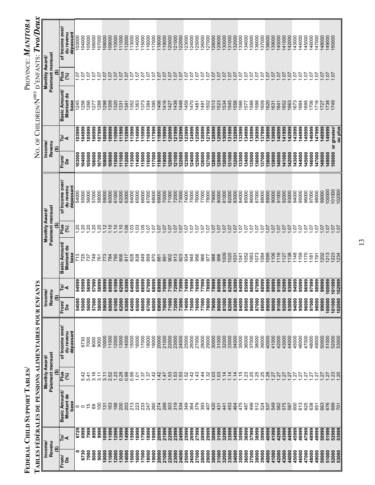| Income/        |                |                                            | Monthly Award/                   |                                           | Income/          |                          |                                            | Monthly Award                    |                                          |                  | Income                           |                                     | Monthly Award/                             |                                           |
|----------------|----------------|--------------------------------------------|----------------------------------|-------------------------------------------|------------------|--------------------------|--------------------------------------------|----------------------------------|------------------------------------------|------------------|----------------------------------|-------------------------------------|--------------------------------------------|-------------------------------------------|
| ⊕              | Revenu         |                                            | Paiement mensue<br>⊕             |                                           | Revenu<br>⊕      |                          |                                            | Paiement mensuel<br>⊕            |                                          |                  | Revenu<br>$\widehat{\mathbf{e}}$ |                                     | Paiement mensuel<br>$\widehat{\mathbf{e}}$ |                                           |
| From<br>മീ     | $\overline{P}$ | <b>Basic Amount/</b><br>Montant de<br>base | Plus<br>(%)                      | of Income over/<br>du revenu<br>dépassant | From/<br>å       | ō,                       | <b>Basic Amount/</b><br>Montant de<br>base | Plus<br>શ્રિ                     | of Income over<br>du revenu<br>dépassant | From<br>മീ       | ু⊲                               | Basic Amount/<br>Montant de<br>base | <b>Plus</b><br>શ્રિ                        | of Income over.<br>dépassant<br>du revenu |
| 0              | 6729           | 0                                          |                                  |                                           | 54000            | <b>999</b>               | 713                                        | $\overline{c}$                   | 54000                                    | 103000           | 103999                           | 1245                                | $\frac{5}{1}$                              | 103000                                    |
| 6730           | 6999           | $\circ$                                    | 5.42                             | 6730                                      | 55000            | 5999<br>เจ้ เจ้          | 725                                        | 20                               | 55000                                    | 104000           | 666701                           | 256                                 | Š                                          | 104000                                    |
| 7000           | 7999           | 15                                         | 5.41                             | 7000                                      | 56000            | 56999                    | 737                                        | $\overline{5}$                   | 56000                                    | 105000           | 105999                           | 266                                 | Š                                          | 05000                                     |
| 8000           | 8999           | 89                                         | 3.16                             | 8000                                      | 57000            | 999<br>io.               | 749                                        | $\overline{5}$                   | 57000                                    | 106000           | 106999                           | 277                                 | Š                                          | 106000                                    |
| 9000           | 9999           | $\overline{0}$                             | 3.11                             | 9000                                      | 58000            | 58999                    | 761                                        | $\overline{5}$                   | 58000                                    | 107000           | 107999                           | <b>288</b>                          | Ş                                          | 07000                                     |
| 0000           | 10999          | $\overline{5}$                             | 3.11                             | 10000                                     | 59000            | 59999                    | 773                                        | $\ddot{c}$                       | 59000                                    | 108000           | 108999                           | 298                                 | S                                          | 108000                                    |
| 1000           | 11999          | 163                                        | 2.52                             | 11000                                     | 60000            | 0999<br>ଌ                | 784                                        | $\overline{10}$                  | 60000                                    | 109000           | 109999                           | 309                                 | 5C                                         | 09000                                     |
| 2000           | 12999          | 188                                        | 1.23                             | 2000                                      | 61000            | 999<br>៵                 | 795                                        | $\tilde{=}$                      | 61000                                    | 10000            | 10999                            | 320                                 | S.                                         | 10000                                     |
| 13000          | 13999          | 200                                        | 0.28                             | 13000                                     | 62000            | 2999<br>స                | 806                                        | $\tilde{c}$                      | 62000                                    | 11000            | 11999                            | 331                                 | 5.                                         | 11000                                     |
| 14000          | 14999          | 203                                        | 0.99                             | 14000                                     | 63000            | 3999<br>ف                | 817                                        | 06                               | 63000                                    | 12000            | 12999                            | 341                                 | $\overline{5}$                             | 12000                                     |
| 15000          | 15999          | 213                                        | 0.99                             | 5000                                      | 64000            | 64999                    | 828                                        | SO.                              | 64000                                    | 13000            | 113999                           | 1352                                | Š                                          | 13000                                     |
| 16000          | 16999          | 223                                        | $\overline{5}$                   | 16000                                     | 65000            | 65999                    | 838                                        | $\overline{0}$                   | 65000                                    | 14000            | 14999                            | 363                                 | S.                                         | 14000                                     |
| 17000          | 17999          | 233                                        | $\ddot{\varepsilon}$             | 17000                                     | 66000            | 66999                    | 849                                        | -90                              | 66000                                    | 15000            | 15999                            | 373                                 | Ş                                          | 15000                                     |
| 18000          | 18999          | 247                                        | $\ddot{\varepsilon}$             | 18000                                     | 67000            | 999<br>ؘ؈                | 859                                        | Š                                | 67000                                    | 16000            | 16999                            | 384                                 | Ċ.                                         | 16000                                     |
| 19000          | 19999          | 260                                        | 42                               | 19000                                     | 68000            | 68999                    | 870                                        | Š                                | 68000                                    | 17000            | 117999                           | 395                                 | $\overline{5}$                             | 17000                                     |
| 20000<br>21000 | 20999<br>21999 | 274<br>289                                 | $\frac{42}{5}$                   | 21000<br>20000                            | 70000<br>69000   | 9999<br>قة               | 881<br>891                                 | S<br>S                           | 69000<br>70000                           | 18000<br>19000   | 18999<br>19999                   | 406<br>1416                         | 5C<br>Š                                    | 18000<br>19000                            |
| 22000          | 22999          | 303                                        | 53<br>47                         | 22000                                     | 71000            | 999<br>0999              | 902                                        | S                                | 71000                                    | 120000           | 120999                           | 427                                 | 5C                                         | 20000                                     |
|                | 23999          | 319                                        | $\ddot{5}$                       | 23000                                     | 72000            |                          | 913                                        | Ş                                | 72000                                    | 121000           | 121999                           | 1438                                | 5o                                         | 21000                                     |
| 23000<br>24000 | 24999          | 334                                        | 53                               | 24000                                     | 73000            | 2999<br>3999             | 923                                        | Š                                | 73000                                    | 122000           | 22999                            | 1448                                | S                                          | 22000                                     |
| 25000          | 25999          | 349                                        | 52                               | 25000                                     | 74000            | 4999                     | 934                                        | Š                                | 74000                                    | <b>123000</b>    | 123999                           | <b>459</b>                          | Š                                          | 23000                                     |
| 26000          | 26999          | 364                                        | 42                               | 26000                                     | 75000            | 5999                     | 945                                        | Ś                                | 75000                                    | 124000           | 24999                            | 1470                                | Ş                                          | 24000                                     |
| 27000          | 27999          | 379                                        | 43                               | 27000                                     | 76000            | 6999                     | 956                                        | S                                | 76000                                    | 25000            | 25999                            | 1481                                | S                                          | 25000                                     |
| 28000          | 28999          | 393                                        | $\dot{4}$                        | 28000                                     | 77000            | 999                      | 966                                        | Ś                                | 77000                                    | 126000           | 26999                            | 1491                                | Ş                                          | 26000                                     |
| 29000          | 29999          | 407                                        | SS.                              | 29000                                     | 78000            | 8999                     | 577                                        | Ś                                | 78000                                    | 127000           | 127999                           | 502                                 | Š                                          | 27000                                     |
| 30000          | 30999          | 420                                        | $\overline{0}$                   | 30000                                     | 79000            | 9999                     | 988                                        | Š                                | 79000                                    | 128000           | 28999                            | 513                                 | S                                          | 28000                                     |
| 31000          | 31999          | 431                                        | 03                               | 31000                                     | 80000            | 0999<br>ౚ                | 998                                        | iò                               | 80000                                    | 129000           | 299999                           | 523                                 | Ş                                          | 29000                                     |
| 32000          | 32999          | 441                                        | $\frac{4}{3}$                    | 32000<br>33000                            | 81000            | 999<br>ᇮ                 | 009                                        | Š                                | 81000                                    | 30000            | 30999                            | 534                                 | Š                                          | 30000                                     |
| 34000<br>33000 | 34999<br>33999 | 453<br>464                                 | $\overline{4}$<br>$\overline{4}$ | 34000                                     | 83000<br>82000   | 3999<br>2999<br>ఱ<br>ဲထံ | 020<br>1031                                | 5C<br>5.                         | 82000<br>83000                           | 31000<br>32000   | 32999<br>31999                   | 545<br>556                          | 5C<br>S                                    | 31000<br>32000                            |
| 35000          | 35999          | 475                                        | $\frac{5}{2}$                    | 35000                                     | 84000            | 4999<br>ఱ                | 541                                        | io.                              | 84000                                    | 33000            | 33999                            | 566                                 | Ģ                                          | 33000                                     |
| 36000          | 36999          | 487                                        | 23                               | 36000                                     | 85000            | 85999                    | 052                                        | 5                                | 85000                                    | 34000            | 34999                            | 577                                 | Š                                          | 34000                                     |
| 37000          | 37999          | 499                                        | .25                              | 37000                                     | 86000            | 86999                    | 063                                        | 5.                               | 86000                                    | 135000           | 35999                            | 588                                 | Ċ,                                         | 35000                                     |
| 38000          | 38999          | 512                                        | 25                               | 38000                                     | 87000            | <b>999</b><br>ౚ          | 1073                                       | 5.                               | 87000                                    | 36000            | 36999                            | 598                                 | 5o                                         | 36000                                     |
| 39000          | 39999          | 524                                        | .25                              | 39000                                     | 88000            | 88999                    | 084                                        | 5.                               | 88000                                    | 37000            | 37999                            | 1609                                | 5                                          | 37000                                     |
| 40000          | 40999          | 537                                        | .28                              | 40000                                     | 89000            | 89999                    | 1095                                       | 5ņ                               | 89000                                    | 38000            | 138999                           | 1620                                | 5Ō                                         | 38000                                     |
| 41000          | 41999          | 549                                        | LZ.                              | 41000                                     | 90000            | 0999<br>ō                | 106                                        | 5.                               | 90000                                    | 139000           | 39999                            | 1631                                | 5                                          | 39000                                     |
| 42000          | 42999          | 562                                        | 27                               | 42000                                     | 91000            | 999<br>ᇰ                 | 116                                        | 5.                               | 91000                                    | 40000            | 140999                           | 1641                                | $\overline{0}$                             | 40000                                     |
| 43000<br>44000 | 43999<br>44999 | 575<br>587                                 | 22<br>2Ż                         | 44000<br>43000                            | 92000<br>93000   | 93999<br>92999           | 138<br>127                                 | $\overline{c}$<br>5 <sub>o</sub> | 92000<br>93000                           | 41000<br>42000   | 141999<br>142999                 | 663<br>1652                         | 5O<br>5C                                   | 141000<br>42000                           |
| 45000          | 45999          | 600                                        | 27                               | 45000                                     | 94000            | 94999                    | 148                                        | 5.                               | 94000                                    | 143000           | 143999                           | 673                                 | Š                                          | 43000                                     |
| 46000          | 46999          | 613                                        | 27                               | 46000                                     | 95000            | 95999                    | 159                                        | 5o                               | 95000                                    | 144000           | 144999                           | 684                                 | S                                          | 144000                                    |
| 47000          | 47999          | 625                                        | 21                               | 47000                                     | 96000            | 96999                    | 170                                        | 5.                               | 96000                                    | 45000            | 145999                           | 695                                 | Š                                          | 145000                                    |
| 48000          | 48999          | 638                                        | Ľä                               | 48000                                     | 97000            | <b>999</b><br>္တ         | 181                                        | Š                                | 97000                                    | 146000           | 146999                           | 706                                 | Š                                          | 46000                                     |
| 49000          | 49999          | 651                                        | Ŀä                               | 49000                                     | 98000            | 98999                    | 191                                        | 5o                               | 98000                                    | 147000           | 147999                           | 716                                 | Š                                          | 147000                                    |
| 50000          | 50999          | 663                                        | 27                               | 50000                                     | 99000            | 99999                    | <b>202</b>                                 | $\overline{0}$                   | 99000                                    | 148000           | 148999                           | <b>127</b>                          | Š                                          | 48000                                     |
| 51000<br>52000 | 51999          | 676                                        | 27                               | 51000<br>52000                            | 100000<br>101000 | 1999<br>999<br>ទី<br>έ   | 213<br><b>223</b>                          | 5.<br>$\overline{5}$             | 100000<br>101000                         | 150000<br>149000 | 149999                           | 738<br>749                          | S<br>5.                                    | 149000<br>50000                           |
| 53000          | 52999<br>53999 | 689<br>$\overline{5}$                      | $\ddot{a}$                       | 53000                                     | 102000           | 102999                   | 1234                                       | Š                                | 102000                                   |                  | ou plus<br>or greater/           |                                     |                                            |                                           |
|                |                |                                            |                                  |                                           |                  |                          |                                            |                                  |                                          |                  |                                  |                                     |                                            |                                           |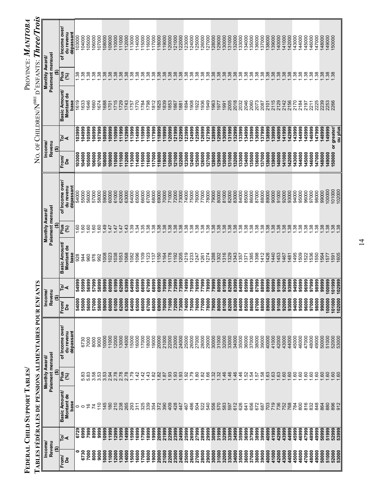|                       |                | FEDERAL CHILD SUPPORT TABLES               |                                         |                                                     |                      |                |                                    |                                        |                                           |                  |                       |                                     |                                         | PROVINCE: MANITOBA                        |
|-----------------------|----------------|--------------------------------------------|-----------------------------------------|-----------------------------------------------------|----------------------|----------------|------------------------------------|----------------------------------------|-------------------------------------------|------------------|-----------------------|-------------------------------------|-----------------------------------------|-------------------------------------------|
|                       |                |                                            |                                         | TABLES FÉDÉRALES DE PENSIONS ALIMENTAIRES POUR ENFA |                      | <b>SLN</b>     |                                    |                                        |                                           |                  |                       | NO. OF CHILDREN/N <sup>BRE</sup>    |                                         | D'ENFANTS: Three/Trois                    |
| Revenu<br>Income<br>⊕ |                |                                            | Paiement mensuel<br>Monthly Award/<br>⊕ |                                                     | Income<br>Reven<br>⊕ |                |                                    | Paiement mensuel<br>Monthly Award<br>⊕ |                                           |                  | Income<br>Revenu<br>⊕ |                                     | Paiement mensuel<br>Monthly Award/<br>⊕ |                                           |
| From<br>å             | ু⊲             | <b>Basic Amount/</b><br>Montant de<br>base | <b>Plus</b><br>වි                       | of Income over<br>dépassant<br>du revenu            | From<br>Å            | ∣ই∙ৰ           | Basic Amount<br>Montant de<br>base | Plus<br>શ્રિ                           | of Income over,<br>dépassant<br>du revenu | From<br>å        | ু⊲                    | Basic Amount/<br>Montant de<br>base | Plus<br>(%)                             | of Income over.<br>dépassant<br>du revenu |
| 0                     | 6729           | 0                                          |                                         |                                                     | 54000                | 54999          | 928                                | S.                                     | 54000                                     | 103000           | 103999                | 1619                                | ೫.                                      | 103000                                    |
| 6730<br>7000          | 6999<br>7999   | <u>م</u><br>$\circ$                        | ಙ<br>5.83<br>πó                         | 7000<br>6730                                        | 56000<br>55000       | 55999<br>56999 | 960<br>944                         | GO.<br>S.                              | 55000<br>56000                            | 105000<br>104000 | 105999<br>666701      | 646<br>633                          | 38.<br>38                               | 104000<br>105000                          |
| 8000                  | 8999           | 74                                         | 3.58                                    | 8000                                                | 57000                | 57999          | 976                                | GO.                                    | 57000                                     | 106000           | 106999                | 1660                                | 38                                      | 106000                                    |
| 9000                  | 9999           | $\frac{1}{2}$                              | 3.53                                    | 9000                                                | 58000                | 58999          | 992                                | GO.                                    | 58000                                     | 107000           | 107999                | 674                                 | 38                                      | 107000                                    |
| 0000                  | 10999          | 145                                        | 3.53                                    | 10000                                               | 59000                | 59999          | 1008                               | 49                                     | 59000                                     | 108000           | 108999                | 688                                 | 38                                      | 108000                                    |
| 1000                  | 11999          | 180                                        | 2.94                                    | 11000                                               | 60000                | 60999          | <b>IO23</b>                        | 47                                     | 60000                                     | 09000            | 109999                | 701                                 | 38                                      | 09000                                     |
| 2000                  | 12999          | 210                                        | 2.78                                    | 12000                                               | 61000                | 61999          | 038                                | 47                                     | 61000                                     | 10000            | 10999                 | 715                                 | 38                                      | 10000                                     |
| 3000<br>4000          | 13999<br>14999 | 265<br>238                                 | 2.78<br>2.78                            | 14000<br>13000                                      | 62000<br>63000       | 63999<br>62999 | <b>1053</b><br>1068                | $\frac{3}{4}$<br>47                    | 62000<br>63000                            | 11000<br>12000   | 11999<br>12999        | 729<br> 743                         | 38<br>38                                | 11000<br>12000                            |
| 5000                  | 15999          | 293                                        | $-79$                                   | 5000                                                | 64000                | 64999          | 082                                | 39                                     | 64000                                     | 13000            | 13999                 | 157                                 | 38                                      | 13000                                     |
| 6000                  | 6999           | 311                                        | $\frac{42}{5}$                          | 16000                                               | 65000                | 65999          | 096                                | ż,                                     | 65000                                     | 14000            | 14999                 | 770                                 | 38                                      | 14000                                     |
| 7000                  | 17999          | 325                                        | 42                                      | 17000                                               | 66000                | 66999          | 109                                | 35                                     | 66000                                     | 15000            | 15999                 | 1784                                | 38                                      | 15000                                     |
| 18000                 | 18999          | 339                                        | 43                                      | 18000                                               | 67000                | 67999          | 123                                | $\frac{8}{3}$                          | 67000                                     | 16000            | 16999                 | 798                                 | 38                                      | 16000                                     |
| 19000                 | 19999          | 354                                        | 82                                      | 19000                                               | 68000                | 68999          | 137                                | $\frac{8}{3}$                          | 68000                                     | 17000            | 17999                 | 1812                                | 38                                      | 17000                                     |
| 20000                 | 20999          | 372                                        | 82                                      | 20000                                               | 69000                | 69999          | 150                                | 38                                     | 69000                                     | 18000            | 18999                 | 1825                                | 38                                      | 18000                                     |
| 21000<br>22000        | 21999          | 390<br>409                                 | .93<br>$\overline{8}$                   | 21000<br>22000                                      | 70000                | 70999<br>71999 | 178<br>164                         | 38<br>$\frac{8}{2}$                    | 70000<br>71000                            | 19000<br>20000   | 19999<br>20999        | 1839<br>1853                        | 38<br>38                                | 19000<br>20000                            |
| 23000                 | 22999<br>23999 | 428                                        | 93                                      | 23000                                               | 71000<br>72000       | 72999          | 192                                | 38                                     | 72000                                     | 21000            | 21999                 | 1867                                | 38                                      | 21000                                     |
| 24000                 | 24999          | 447                                        | 93                                      | 24000                                               | 73000                | 73999          | 205                                | 38                                     | 73000                                     | 22000            | 22999                 | 1881                                | 38                                      | 22000                                     |
| 25000                 | 25999          | 467                                        | $\mathcal{S}^{\mathcal{S}}$             | 25000                                               | 74000                | 74999          | 219                                | 38                                     | 74000                                     | 23000            | 23999                 | 1894                                | 38                                      | 23000                                     |
| 26000                 | 26999          | 486                                        | <b>P2</b>                               | 26000                                               | 75000                | 75999          | 233                                | 38                                     | 75000                                     | 24000            | 24999                 | 1908                                | 38.                                     | 24000                                     |
| 27000                 | 27999          | 504                                        | 80                                      | 27000                                               | 76000                | 76999          | 247                                | 38                                     | 76000                                     | 25000            | 25999                 | 1922                                | $\ddot{3}$                              | 25000                                     |
| 28000                 | 28999          | 522                                        | 82                                      | 28000                                               | 77000                | 77999          | 261                                | 38                                     | 77000                                     | 126000           | 126999                | 1936                                | 38                                      | 26000                                     |
| 29000                 | 29999          | 540                                        | 86                                      | 29000                                               | 78000                | 78999          | 274                                | $\frac{8}{2}$                          | 78000                                     | 27000            | 27999                 | 1949                                | 38                                      | 27000                                     |
| 30000<br>31000        | 30999<br>31999 | 556<br>570                                 | 32<br>$\ddot{3}$                        | 30000<br>31000                                      | 79000<br>80000       | 79999<br>80999 | 288<br>302                         | 38<br>38                               | 79000<br>80000                            | 128000<br>129000 | 128999<br>29999       | 1963<br>1977                        | 38<br>38                                | 28000<br>29000                            |
| 32000                 | 32999          | 583                                        | 46                                      | 32000                                               | 81000                | 81999          | 316                                | $\overline{38}$                        | 81000                                     | 30000            | 30999                 | 1991                                | 38                                      | 30000                                     |
| 33000                 | 33999          | 597                                        | 46                                      | 33000                                               | 82000                | 82999          | 329                                | 38                                     | 82000                                     | 31000            | 31999                 | 2005                                | 38                                      | 31000                                     |
| 34000                 | 34999          | 612                                        | 46                                      | 34000                                               | 83000                | 83999          | 343                                | 38                                     | 83000                                     | 32000            | 32999                 | 2018                                | 38                                      | 32000                                     |
| 35000                 | 35999          | 626                                        | 46                                      | 35000                                               | 84000                | 84999          | 357                                | $\frac{8}{3}$                          | 84000                                     | 33000            | 33999                 | 2032                                | 38                                      | 33000                                     |
| 36000                 | 36999          | 641                                        | 52                                      | 36000                                               | 85000                | 85999          | 371                                | $\frac{8}{2}$                          | 85000                                     | 34000            | 34999                 | 2046                                | $\frac{38}{2}$                          | 34000                                     |
| 37000                 | 37999          | 656<br>672                                 | $\ddot{q}$<br>57                        | 37000<br>38000                                      | 86000<br>87000       | 86999<br>87999 | 385<br>398                         | 38<br>38                               | 86000<br>87000                            | 35000            | 35999                 | 2060<br>2073                        | 38<br>$\ddot{38}$                       | 35000<br>36000                            |
| 38000<br>39000        | 38999<br>39999 | 687                                        | 58                                      | 39000                                               | 88000                | 88999          | 412                                | 38                                     | 88000                                     | 37000<br>36000   | 36999<br>37999        | 2087                                | 38                                      | 37000                                     |
| 40000                 | 40999          | 703                                        | 63                                      | 40000                                               | 89000                | 89999          | 426                                | 38                                     | 89000                                     | 38000            | 38999                 | 2101                                | 38                                      | 38000                                     |
| 41000                 | 41999          | 719                                        | 63                                      | 41000                                               | 90000                | 90999          | 440                                | 38                                     | 90000                                     | 39000            | 39999                 | 2115                                | 38                                      | 39000                                     |
| 42000                 | 42999          | 736                                        | .63                                     | 42000                                               | 91000                | 91999          | 453                                | 38                                     | 91000                                     | 140000           | 40999                 | 2129                                | 38                                      | 140000                                    |
| 43000                 | 43999          | 752                                        | 60                                      | 43000                                               | 92000                | 92999          | 467                                | 38                                     | 92000                                     | 141000           | 141999                | 2142                                | 38                                      | 141000                                    |
| 44000                 | 44999          | 768                                        | .60                                     | 44000                                               | 93000                | 93999          | 481                                | 38                                     | 93000                                     | 42000            | 142999                | 2156                                | 38                                      | 142000                                    |
| 45000<br>46000        | 45999          | 800<br>784                                 | 60<br>S.                                | 45000<br>46000                                      | 94000<br>95000       | 94999<br>95999 | 509<br>495                         | 38<br>38                               | 94000<br>95000                            | 143000           | 143999                | 2170<br>2184                        | 38<br>$\frac{38}{2}$                    | 143000<br>144000                          |
| 47000                 | 46999<br>47999 | 816                                        | 60                                      | 47000                                               | 96000                | 96999          | 522                                | 38                                     | 96000                                     | 44000<br>45000   | 144999<br>145999      | 2197                                | 38                                      | 45000                                     |
| 48000                 | 48999          | 832                                        | co.                                     | 48000                                               | 97000                | 97999          | 536                                | 38                                     | 97000                                     | 146000           | 146999                | 2211                                | 38                                      | 46000                                     |
| 49000                 | 49999          | 848                                        | 60                                      | 49000                                               | 98000                | 98999          | 550                                | 38                                     | 98000                                     | 47000            | 147999                | 2225                                | $\frac{38}{2}$                          | 147000                                    |
| 50000                 | 50999          | 864                                        | <b>GO</b>                               | 50000                                               | 99000                | 99999          | 564                                | 38                                     | 99000                                     | 148000           | 148999                | 2239                                | 38                                      | 148000                                    |
| 51000                 | 51999          | 880                                        | 60                                      | 51000                                               | 100000               | 00999          | 577                                | 38                                     | 100000                                    | 149000           | 149999                | 2253                                | 38                                      | 149000                                    |
| 52000                 | 52999          | 896                                        | 60                                      | 52000                                               | 101000               | 01999          | 591                                | 38<br>38                               | 101000                                    | 150000           | or greater/           | 2266                                | 38                                      | 150000                                    |
| 53000                 | 53999          | 912                                        | 60                                      | 53000                                               | 102000               | 02999          | 1605                               |                                        | 102000                                    |                  | ou plus               |                                     |                                         |                                           |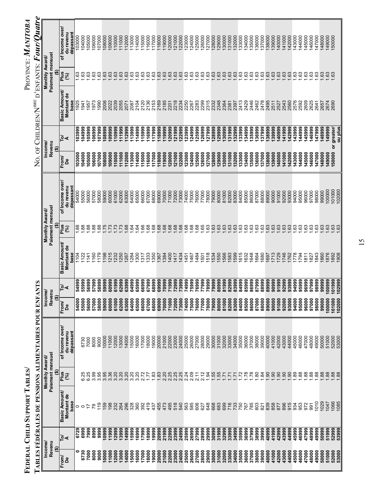|                  |                |                    |                                   | ABLES FÉDÉRALES DE PENSIONS ALIMENTAIRES POUR ENFAN |                   | P                         |                    |                                    |                        |                  |                               |                    |                                    | No. of Children/N <sup>bre</sup> d'enfants: $FourOur$ |  |
|------------------|----------------|--------------------|-----------------------------------|-----------------------------------------------------|-------------------|---------------------------|--------------------|------------------------------------|------------------------|------------------|-------------------------------|--------------------|------------------------------------|-------------------------------------------------------|--|
| Revenu<br>Income |                |                    | Paiement mensue<br>Monthly Award/ |                                                     | Income/<br>Revenu |                           |                    | Paiement mensuel<br>Monthly Award/ |                        |                  | Income/<br>Revenu             |                    | Paiement mensuel<br>Monthly Award/ |                                                       |  |
| ⊕<br>From        | ৈ∢             | Basic Amount/      | ⊕<br>Plus<br>(96)                 | of Income over                                      | ⊕<br>From<br>å    | ০ ব                       | Basic Amount/      | ⊕<br>Plus                          | of Income over,        | From             | .⊵∢<br>$\widehat{\mathbf{e}}$ | Basic Amount/      | ⊕<br>$\frac{1}{2}$                 | of Income over                                        |  |
| å                |                | Montant de<br>base |                                   | du revenu<br>dépassant                              |                   |                           | Montant de<br>base | ි                                  | du revenu<br>dépassant | å                |                               | Montant de<br>base | (%)                                | dépassant<br>du revenu                                |  |
| 6730             | 6999<br>6729   | 0<br>$\circ$       | 6.25                              | 6730                                                | 55000<br>54000    | 5999<br>4999<br>ທີ່ທັ     | 1104<br>122        | $\frac{88}{1.88}$                  | 54000<br>55000         | 104000<br>103000 | 104999<br>103999              | 1925<br>1941       | <b>1.63</b><br>1.63                | 103000<br>104000                                      |  |
| 7000             | 7999           |                    | 6.25                              | 7000                                                | 56000             | 56999                     | 141                | 88                                 | 56000                  | 105000           | 105999                        | 1957               | 1.63                               | 105000                                                |  |
| 8000             | 8999           | లై                 | 3.99                              | 8000                                                | 57000             | 999<br>5                  | 160                | 88,89                              | 57000                  | 106000           | 106999                        | 1973               | $\frac{63}{ }$                     | 106000                                                |  |
| 9000             | 9999           | 119                | 3.95                              | 9000                                                | 58000             | 999<br>៰                  | 179                |                                    | 58000                  | 107000           | 666201                        | 1990               | 1.63                               | 07000                                                 |  |
| 10000<br>11000   | 10999<br>11999 | 159<br>198         | 3.95<br>3.36                      | 10000<br>11000                                      | 59000<br>60000    | 59999<br><b>1999</b><br>ত | 198<br>215         | .75<br>.73                         | 59000<br>60000         | 108000<br>000601 | 108999<br>109999              | 2006<br>2022       | <b>1.63</b><br>.63                 | 000801<br>000601                                      |  |
| 12000            | 12999          | 232                | 3.20                              | 12000                                               | 61000             | 999<br>ত                  | <b>232</b>         | .73                                | 61000                  | 110000           | 10999                         | 2039               | <b>1.63</b>                        | 10000                                                 |  |
| 13000            | 13999          | 264                | 3.20                              | 13000                                               | 62000             | 62999                     | 250                | .73                                | 62000                  | 11000            | 111999                        | 2055               | .63                                | 11000                                                 |  |
| 14000            | 14999          | 296                | 3.20                              | 14000                                               | 63000             | <b>999</b><br>ۆن          | 267                | 68                                 | 63000                  | 12000            | 112999                        | 2071               | .63                                | 12000                                                 |  |
| 15000<br>16000   | 15999<br>16999 | 328<br>360         | 3.20<br>3.20                      | 15000<br>16000                                      | 64000<br>65000    | 64999<br>65999            | 284<br>300         | 64<br>$\ddot{q}$                   | 64000<br>65000         | 13000<br>14000   | 113999<br>114999              | 2104<br>2087       | .63<br>.63                         | 13000<br>14000                                        |  |
| 17000            | 17999          | 392                | 2.72                              | 17000                                               | 66000             | 6999<br>ō                 | 317                | 66                                 | 66000                  | 15000            | 15999                         | 2120               | .63                                | 15000                                                 |  |
| 18000            | 18999          | 419                | 1.77                              | 18000                                               | 67000             | <b>999</b><br>ة           | 333                | 68                                 | 67000                  | 16000            | 116999                        | 2136               | .63                                | 16000                                                 |  |
| 19000            | 19999          | 437                | 1.83                              | 19000                                               | 68000             | 3999<br>ఙ                 | 350                | 68                                 | 68000                  | 17000            | 117999                        | 2153               | .63                                | 117000                                                |  |
| 20000            | 20999          | 455<br>473         | 1.83                              | 20000                                               | 69000             | 69999                     | 367                | .68                                | 69000                  | 18000            | 18999                         | 2169               | .63                                | 18000                                                 |  |
| 21000<br>22000   | 21999<br>22999 | 495                | 2.20<br>2.25                      | 21000<br>22000                                      | 70000<br>71000    | 999<br>0999               | 384<br>400         | .68<br>68                          | 70000<br>71000         | 19000<br>20000   | 119999<br>120999              | 2185<br>2201       | .63<br>63                          | 19000<br>20000                                        |  |
| 23000            | 23999          | 518                | 2.25                              | 23000                                               | 72000             | <b>999</b>                | 417                | 68                                 | 72000                  | 121000           | 121999                        | 2218               | .63                                | 21000                                                 |  |
| 24000            | 24999          | 540                | 2.25<br>2.24                      | 24000                                               | 73000             | 3999                      | 434                | .68                                | 73000                  | 122000           | 122999                        | 2234               | .63                                | 22000                                                 |  |
| 25000            | 25999          | 563                |                                   | 25000                                               | 74000             | 4999                      | 451                | .68                                | 74000                  | 123000           | 123999                        | 2250               | .63                                | 23000                                                 |  |
| 26000            | 26999          | 585                | 2.09                              | 26000                                               | 75000             | 5999                      | 467                | 68                                 | 75000                  | <b>24000</b>     | 124999                        | 2267               | .63                                | 24000                                                 |  |
| 27000            | 27999          | 606<br>627         | 2.11                              | 27000                                               | 76000             | 6999                      | 484                | 65<br>68                           | 76000                  | 25000            | 25999                         | 2283<br>2299       | 63<br>.63                          | 25000                                                 |  |
| 29000<br>28000   | 28999<br>29999 | 648                | 2.12<br>1.94                      | 28000<br>29000                                      | 77000<br>78000    | 3999<br><b>P66</b>        | 518<br>501         | 63                                 | 77000<br>78000         | 26000<br>127000  | 126999<br>27999               | 2315               | .63                                | 26000<br>27000                                        |  |
| 30000            | 30999          | 668                | 1.55                              | 30000                                               | 79000             | 9999                      | 534                | 63                                 | 79000                  | 28000            | 128999                        | 2332               | .63                                | 28000                                                 |  |
| 31000            | 31999          | 683                | 1.55                              | 31000                                               | 80000             | <b>999</b><br>ಹ           | 550                | 63                                 | 80000                  | 29000            | 129999                        | 2348               | .63                                | 29000                                                 |  |
| 32000            | 32999          | 699                | $\overline{17}$                   | 32000                                               | 81000             | 999<br>ᇮ                  | 566                | 63                                 | 81000                  | 30000            | 30999                         | 2364               | .63                                | 30000                                                 |  |
| 33000            | 33999          | 716                | $\overline{z}$                    | 33000                                               | 82000             | 82999                     | 583                | 63                                 | 82000                  | 131000           | 131999                        | 2381               | 63                                 | 31000                                                 |  |
| 34000<br>35000   | 34999<br>35999 | 733                | .72<br>71                         | 34000<br>35000                                      | 83000<br>84000    | 83999<br>1999<br>没        | 599<br>615         | 63                                 | 83000<br>84000         | 32000<br>33000   | 132999<br>133999              | 2413<br>2397       | .63<br>63                          | 32000<br>33000                                        |  |
| 36000            | 36999          | 767                | .78                               | 36000                                               | 85000             | 85999                     | 632                | 63                                 | 85000                  | 134000           | 134999                        | 2429               | .63                                | 34000                                                 |  |
| 37000            | 37999          | 785                | .78                               | 37000                                               | 86000             | 86999                     | 648                | $\frac{3}{2}$                      | 86000                  | 135000           | 35999                         | 2446               | .63                                | 35000                                                 |  |
| 38000            | 38999          | 803                | 80                                | 38000                                               | 87000             | 999<br>ౚ                  | 664                |                                    | 87000                  | 36000            | 36999                         | 2462               | .63                                | 36000                                                 |  |
| 39000<br>40000   | 39999<br>40999 | 839<br>821         | $\overline{90}$<br>$\ddot{3}$     | 39000<br>40000                                      | 88000<br>89000    | 8999<br>89999<br>ఙ        | 680<br>697         | $63$<br>63                         | 88000<br>89000         | 37000<br>38000   | 37999<br>38999                | 2478<br>2495       | .63<br>.63                         | 37000<br>138000                                       |  |
| 41000            | 41999          | 858                | $\overline{90}$                   | 41000                                               | 90000             | <b>999</b><br>ႜ           | 713                | 63                                 | 90000                  | 139000           | 39999                         | 2511               | .63                                | 39000                                                 |  |
| 42000            | 42999          | 877                | $\overline{90}$                   | 42000                                               | 91000             | 999<br>。                  | 729                | 63                                 | 91000                  | 140000           | 140999                        | 2527               | .63                                | 40000                                                 |  |
| 43000            | 43999          | 896                | $\overline{90}$                   | 43000                                               | 92000             | 2999<br>ର                 | 746                | 63                                 | 92000                  | 141000           | 141999                        | 2543               | 63                                 | 141000                                                |  |
| 44000            | 44999          | 915                | $\overline{6}$                    | 44000                                               | 93000             | 93999                     | 762                | 63                                 | 93000                  | 142000           | 142999                        | 2560               | .63                                | 42000                                                 |  |
| 45000            | 45999          | 934<br>953         | 89<br>88                          | 45000<br>46000                                      | 94000             | 95999<br>94999            | 778<br>794         | 63                                 | 94000<br>95000         | 143000           | 143999                        | 2576<br>2592       | 63<br>.63                          | 143000<br>44000                                       |  |
| 46000<br>47000   | 46999<br>47999 | 972                | 88                                | 47000                                               | 95000<br>96000    | 96999                     | 811                | $63$                               | 96000                  | 44000<br>145000  | 144999<br>145999              | 2609               | 63                                 | 45000                                                 |  |
| 48000            | 48999          | 991                | 88                                | 48000                                               | 97000             | <b>999</b><br>္တ          | 827                | 63                                 | 97000                  | 146000           | 146999                        | 2625               | .63                                | 46000                                                 |  |
| 49000            | 49999          | 1010               | 88                                | 49000                                               | 98000             | 98999                     | 843                | 63                                 | 98000                  | 147000           | 147999                        | 2641               | 63                                 | 147000                                                |  |
| 50000            | 50999          | 1029               | 1.88                              | 50000                                               | 99000             | 99999                     | 1860               | 63                                 | 99000                  | 148000           | 148999                        | 2657               | .63                                | 48000                                                 |  |
| 51000            | 51999          | 1047               | .88                               | 51000                                               | 100000            | 1999<br>$\frac{5}{2}$     | 876                | .63                                | 100000                 | 149000           | 149999                        | 2674               | .63                                | 149000                                                |  |
| 52000<br>53000   | 52999<br>53999 | 1066<br>1085       | .88<br>1.88                       | 52000<br>53000                                      | 101000<br>102000  | 999<br>102999<br>ś        | 892<br>1908        | 63                                 | 101000<br>102000       | 150000           | ou plus<br>or greater/        | 2690               | .63                                | 50000                                                 |  |
|                  |                |                    |                                   |                                                     |                   |                           |                    |                                    |                        |                  |                               |                    |                                    |                                                       |  |

PROVINCE: MANITOBA

**FEDERAL CHILD SUPPORT TABLES/** PROVINCE: *MANITOBA* FEDERAL CHILD SUPPORT TABLES/<br>Table is existent to be democrated at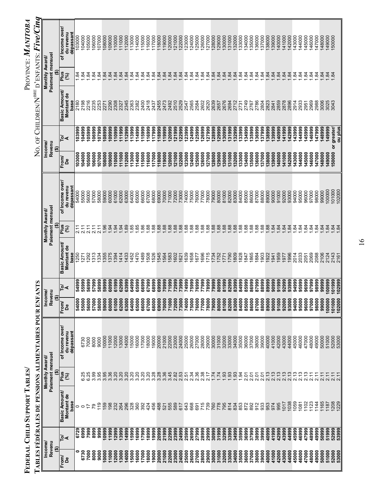|                  |                |                      |                                            | TABLES FÉDÉRALES DE PENSIONS ALIMENTAIRES POUR ENFANTS |                  |                |                    |                                    |                        | ò<br>Z           |                   | OF CHILDREN/N <sup>BRE</sup> D'ENFANTS: |                                    | <b>Five/Cinq</b>       |  |
|------------------|----------------|----------------------|--------------------------------------------|--------------------------------------------------------|------------------|----------------|--------------------|------------------------------------|------------------------|------------------|-------------------|-----------------------------------------|------------------------------------|------------------------|--|
| Income<br>Revenu |                |                      | Paiement mensuel<br>Monthly Award/         |                                                        | Income<br>Revenu |                |                    | Paiement mensuel<br>Monthly Award/ |                        |                  | Income/<br>Revenu |                                         | Paiement mensuel<br>Monthly Award/ |                        |  |
| ⊕<br>From        |                | <b>Basic Amount/</b> | ଛ<br>Plus                                  | of Income over/                                        | ⊕<br>From        |                | Basic Amount/      | Ģ<br>Plus                          | of Income over         | From             | ⊕                 | <b>Basic Amount/</b>                    | ⊕<br>Plus                          | of Income over/        |  |
| å                | ু⊲             | Montant de<br>base   | 3                                          | du revenu<br>dépassant                                 | Å                | ট∡             | Montant de<br>base | (5)                                | du revenu<br>dépassant | å                | টৰ                | Montant de<br>base                      | 3                                  | dépassant<br>du revenu |  |
| 0                | 6729           | $\circ$              |                                            |                                                        | 54000            | 54999          | 1250               | 2.11<br>2.11                       | 54000                  | 103000           | 103999            | 2180                                    | 1.84                               | 103000                 |  |
| 6730             | 6999           | $\circ$              | 25                                         | 6730                                                   | 55000            | 5999           | 1271               |                                    | 55000                  | 104000           | 104999            | 2198                                    | $\overline{84}$                    | 104000                 |  |
| 7000             | 7999           | ≑                    | 6.25                                       | 7000                                                   | 56000            | 56999          | 292                | 2.11                               | 56000                  | 105000           | 105999            | 2216                                    | să                                 | 105000                 |  |
| 8000<br>9000     | 8999<br>9999   | $\frac{9}{1}$<br>54  | 3.95<br>3.99                               | 8000<br>9000                                           | 57000<br>58000   | 6664<br>58999  | 313<br>334         | $\frac{21}{11}$<br>2.11            | 57000<br>58000         | 106000<br>107000 | 106999<br>107999  | 2235<br>2253                            | $\ddot{3}$<br>sà                   | 106000<br>07000        |  |
| 0000             | 10999          | <b>159</b>           | 3.95                                       | 10000                                                  | 59000            | 59999          | 355                | 1.96                               | 59000                  | 108000           | 108999            | 2271                                    | $\ddot{a}$                         | 08000                  |  |
| 1000             | 11999          | 198                  | 3.36                                       | 11000                                                  | 60000            | 66609          | 375                | $-84$                              | 60000                  | 109000           | 109999            | 2290                                    | $\ddot{a}$                         | 09000                  |  |
| 2000             | 12999          | 232                  | 3.20                                       | 13000<br>2000                                          | 61000            | \$1999         | 394                | $9\overline{4}$<br>94              | 61000                  | 10000            | 10999             | 2308                                    | $\overline{a}$                     | 10000                  |  |
| 3000<br>4000     | 14999<br>13999 | 264<br>296           | 3.20<br>3.20                               | 14000                                                  | 62000<br>63000   | 53999<br>52999 | 414<br>433         | 89                                 | 62000<br>63000         | 11000<br>12000   | 11999<br>12999    | 2345<br>2327                            | $\frac{1}{2}$ $\frac{5}{2}$        | 11000<br>12000         |  |
| 5000             | 5999           | 328                  | 3.20                                       | 15000                                                  | 64000            | 66675          | 452                | 85                                 | 64000                  | 13000            | 13999             | 2363                                    | $\ddot{a}$                         | 13000                  |  |
| 6000             | 6999           | 360                  | $3.20$<br>$3.20$                           | 16000                                                  | 65000            | \$5999         | 1470               | 85                                 | 65000                  | 14000            | 14999             | 2382                                    | $\ddot{a}$                         | 14000                  |  |
| 17000            | 17999          | 392                  |                                            | 17000                                                  | 66000            | 6999           | 1489               | 86                                 | 66000                  | 15000            | 15999             | 2400                                    | $\frac{3}{4}$ $\frac{3}{4}$        | 15000                  |  |
| 18000            | 18999          | 424                  | 3.20                                       | 18000                                                  | 67000            | 57999          | 508                | 88                                 | 67000                  | 16000            | 16999             | 2418                                    |                                    | 16000                  |  |
| 19000            | 19999          | 456                  | 3.28                                       | 19000                                                  | 68000            | 38999          | 526                | 88                                 | 68000                  | 117000           | 117999            | 2437                                    | $\ddot{a}$                         | 17000                  |  |
| 20000            | 20999          | 488                  | 3.28                                       | 20000                                                  | 69000            | 59999          | 545<br>564         | 88.                                | 69000                  | 18000            | 18999             | 2455<br>2473                            | $\ddot{a}$                         | 18000                  |  |
| 22000<br>21000   | 21999          | 555<br>521           | 3.36<br>3.45                               | 21000<br>22000                                         | 70000            | 70999<br>71999 | 583                | .88<br>88.                         | 70000<br>71000         | 19000<br>20000   | 19999<br>20999    | 2492                                    | $\frac{3}{3}$ $\frac{3}{2}$        | 19000<br>20000         |  |
| 23000            | 22999<br>23999 | 589                  | 2.82                                       | 23000                                                  | 72000<br>71000   | 72999          | 602                | .88                                | 72000                  | 121000           | 121999            | 2510                                    | $\frac{84}{3}$                     | 21000                  |  |
| 24000            | 24999          | 617                  | 2.53                                       | 24000                                                  | 73000            | 73999          | 621                | 88                                 | 73000                  | 22000            | 22999             | 2529                                    | $\ddot{a}$                         | 22000                  |  |
| 25000            | 25999          | 643                  | 2.51                                       | 25000                                                  | 74000            | 74999          | 639                | 88                                 | 74000                  | <b>123000</b>    | 23999             | 2547                                    |                                    | 23000                  |  |
| 26000            | 26999          | 668                  | 2.34                                       | 26000                                                  | 75000            | 5999           | 658                | 88                                 | 75000                  | 24000            | 24999             | 2565                                    | $\frac{6}{3}$ $\frac{6}{3}$        | 24000                  |  |
| 27000            | 27999          | 691                  | 2.36                                       | 27000                                                  | 76000            | '6999          | 677                | 88                                 | 76000                  | 25000            | 25999             | 2584                                    | $\frac{9}{4}$ $\frac{9}{4}$        | 25000                  |  |
| 28000            | 28999          | 715                  | 2.38                                       | 28000                                                  | 77000            | 7999           | 696                | 88                                 | 77000                  | 26000            | 26999             | 2602                                    |                                    | 26000                  |  |
| 29000            | 29999          | 739                  | 217                                        | 29000                                                  | 78000            | 78999          | 715                | 88                                 | 78000                  | 127000           | 27999             | 2620                                    | $\ddot{a}$                         | 27000                  |  |
| 30000            | 30999          | 760                  | 1.74                                       | 30000                                                  | 79000            | 79999          | 734                | 88                                 | 79000                  | 128000           | 28999             | 2639                                    |                                    | 28000                  |  |
| 31000            | 31999          | 778                  | 1.74                                       | 31000                                                  | 80000            | 80999          | 752                | 88                                 | 80000                  | 129000           | 29999             | 2657                                    |                                    | 29000                  |  |
| 32000<br>33000   | 32999<br>33999 | 795<br>814           | 1.93<br>.93                                | 32000<br>33000                                         | 81000<br>82000   | 31999<br>32999 | 790<br>771         | .88<br>.88                         | 81000<br>82000         | 131000<br>30000  | 30999<br>31999    | 2676<br>2694                            |                                    | 30000<br>31000         |  |
| 34000            | 34999          | 834                  | .93                                        | 34000                                                  | 83000            | 33999          | 809                | .88                                | 83000                  | 132000           | 32999             | 2712                                    |                                    | 32000                  |  |
| 35000            | 35999          | 853                  | 1.94                                       | 35000                                                  | 84000            | 84999          | 828                | 88                                 | 84000                  | 133000           | 33999             | 2731                                    |                                    | 33000                  |  |
| 36000            | 36999          | 872                  | 2.01                                       | 36000                                                  | 85000            | 15999          | 847                | 88                                 | 85000                  | 34000            | 34999             | 2749                                    |                                    | 34000                  |  |
| 37000            | 37999          | 892                  | <u>ร</u>                                   | 37000                                                  | 86000            | 86999          | 865                | 88                                 | 86000                  | 35000            | 35999             | 2767                                    | <u>ಞ ಞ ಞ ಞ</u>                     | 135000                 |  |
| 38000            | 38999          | 912                  | 2.01                                       | 38000                                                  | 87000            | 87999          | 903<br>884         | 8888                               | 87000                  | 36000            | 36999             | 2786                                    | $\ddot{a}$                         | 36000                  |  |
| 39000<br>40000   | 39999<br>40999 | 933<br>953           | 2.13<br>2.01                               | 39000<br>40000                                         | 88000<br>89000   | 38999<br>89999 | 922                |                                    | 88000<br>89000         | 137000<br>38000  | 37999             | 2804<br>2823                            |                                    | 37000<br>38000         |  |
| 41000            | 41999          | 974                  |                                            | 41000                                                  | 90000            | 90999          | 1941               |                                    | 90000                  | 139000           | 38999<br>39999    | 2841                                    |                                    | 139000                 |  |
| 42000            | 42999          | 995                  | $2.13$<br>$2.13$                           | 42000                                                  | 91000            | 91999          | 959                | $\frac{1}{84}$                     | 91000                  | 140000           | 40999             | 2859                                    |                                    | 140000                 |  |
| 43000            | 43999          | 1017                 | 2.13                                       | 43000                                                  | 92000            | 92999          | 1977               | $\frac{1}{2}$ $\frac{3}{2}$        | 92000                  | 41000            | 41999             | 2878                                    |                                    | 41000                  |  |
| 44000            | 44999          | 1038                 | 2.13                                       | 44000                                                  | 93000            | 13999          | 996                |                                    | 93000                  | 142000           | 42999             | 2896                                    |                                    | 42000                  |  |
| 45000            | 45999          | 1059                 | 2.13                                       | 45000                                                  | 94000            | 94999          | 2014               | $\ddot{a}$                         | 94000                  | 143000           | 143999            | 2914                                    | <u>ಇ ಇ ಇ ಇ ಇ ಇ ಇ ಇ</u>             | 43000                  |  |
| 46000<br>47000   | 46999<br>47999 | 102<br>1081          | ო<br>ო<br>$\overline{\mathsf{N}}$          | 46000<br>47000                                         | 95000<br>96000   | 5999<br>96999  | 2033<br>2051       | 84                                 | 95000<br>96000         | 144000<br>145000 | 44999<br>45999    | 2933<br>2951                            | $\frac{9}{4}$                      | 144000<br>145000       |  |
| 48000            | 48999          | 123                  | $\overline{21}$<br>$\overline{\mathbf{N}}$ | 48000                                                  | 97000            | 97999          | 2069               | $\frac{3}{2}$ $\frac{3}{2}$        | 97000                  | 146000           | 146999            | 2969                                    | $\ddot{a}$                         | 146000                 |  |
| 49000            | 49999          | 144                  |                                            | 49000                                                  | 98000            | 98999          | 2088               | sġ                                 | 98000                  | 147000           | 47999             | 2988                                    | să                                 | 47000                  |  |
| 50000            | 50999          | 165                  | $\frac{7}{2}$ .11                          | 50000                                                  | 99000            | 99999          | 2106               | $\ddot{a}$                         | 99000                  | 148000           | 48999             | 3006                                    | $\ddot{a}$                         | 148000                 |  |
| 51000            | 51999          | 187                  | $\overline{21}$                            | 51000                                                  | 100000           | 100999         | 2124               | $\frac{2}{3} \times \frac{2}{3}$   | 100000                 | 149000           | 149999            | 3025                                    | $\frac{3}{4}$ $\frac{3}{4}$        | 149000                 |  |
| 52000            | 52999          | 208                  | $2.11$<br>$2.11$                           | 52000                                                  | 101000           | 101999         | 2143<br>2161       |                                    | 101000                 | 150000           | or greater/       | 3043                                    |                                    | 150000                 |  |
| 53000            | 53999          | 1229                 |                                            | 53000                                                  | 102000           | 102999         |                    |                                    | 102000                 |                  | ou plus           |                                         |                                    |                        |  |